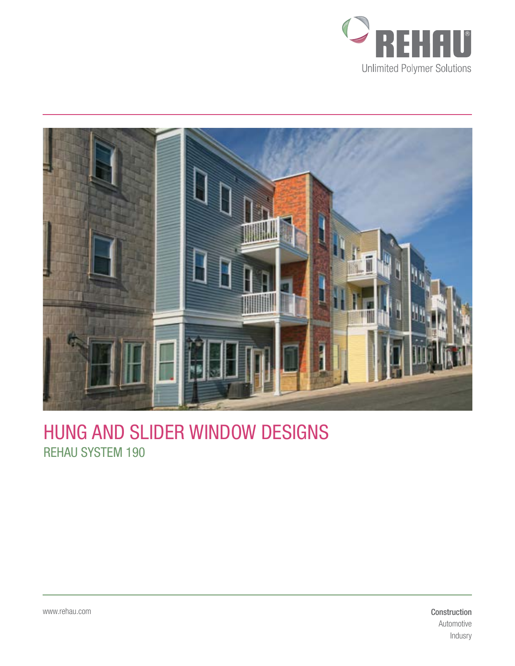



## Hung AND Slider Window Designs REHAU System 190

Construction Automotive Indusry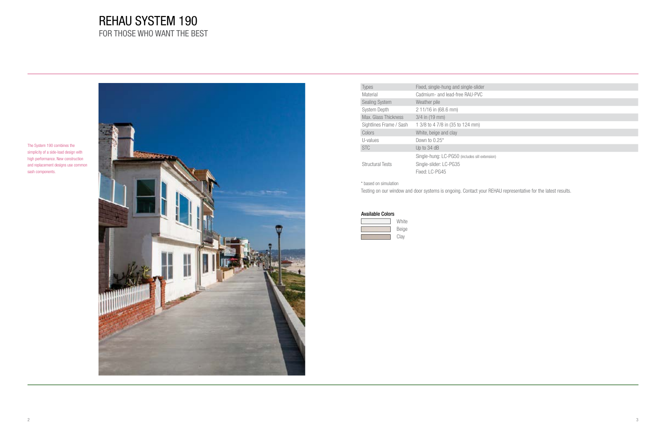# REHAU SYSTEM 190 FOR THOSE WHO WANT THE BEST



| <b>Types</b>            | Fixed, single-hung and single-slider                                                   |
|-------------------------|----------------------------------------------------------------------------------------|
| Material                | Cadmium- and lead-free RAU-PVC                                                         |
| <b>Sealing System</b>   | Weather pile                                                                           |
| <b>System Depth</b>     | 2 11/16 in (68.6 mm)                                                                   |
| Max. Glass Thickness    | $3/4$ in $(19 \text{ mm})$                                                             |
| Sightlines Frame / Sash | 1 3/8 to 4 7/8 in (35 to 124 mm)                                                       |
| Colors                  | White, beige and clay                                                                  |
| U-values                | Down to $0.25^*$                                                                       |
| <b>STC</b>              | Up to 34 dB                                                                            |
| <b>Structural Tests</b> | Single-hung: LC-PG50 (includes sill exter<br>Single-slider: LC-PG35<br>Fixed: I C-PG45 |

### Available Colors

| White |
|-------|
| Beige |
| Clay  |

The System 190 combines the simplicity of a side-load design with high performance. New construction and replacement designs use common sash components.

nsion)

\* based on simulation

Testing on our window and door systems is ongoing. Contact your REHAU representative for the latest results.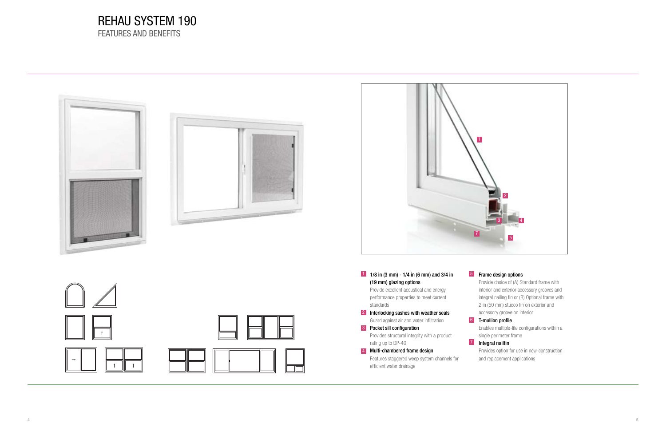### REHAU system 190 FEATURES AND BENEFITS

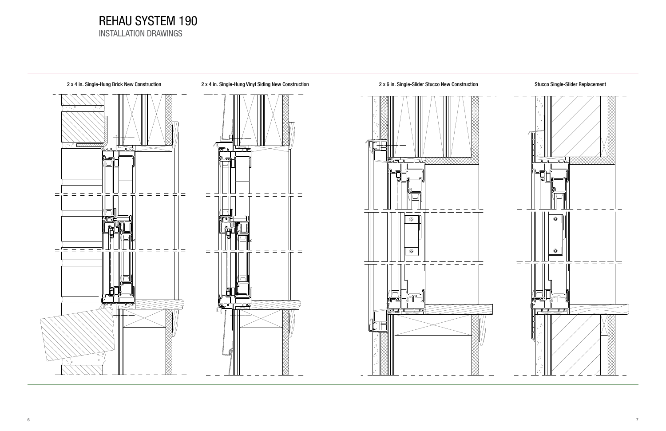### REHAU SYSTEM 190 Installation drawings



2 x 4 in. Single-Hung Brick New Construction 2 x 4 in. Single-Hung Vinyl Siding New Construction 2 x 6 in. Single-Slider Stucco New Construction Stucco Single-Slider Replacement